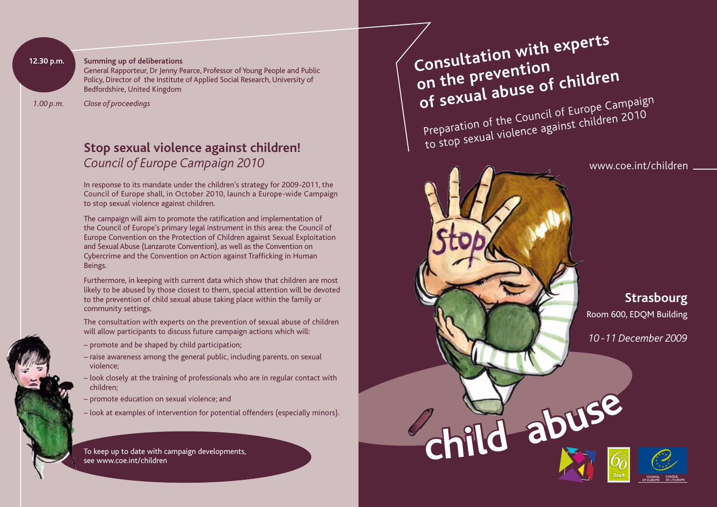### **12.30 p.m.** Summing up of deliberations

General Rapporteur, Dr Jenny Pearce, Professor of Young People and Public Policy, Director of the Institute of Applied Social Research, University of Bedfordshire, United Kingdom

 *1.00 p.m. Close of proceedings* 

# **Stop sexual violence against children!**  *Council of Europe Campaign 2010*

In response to its mandate under the children's strategy for 2009-2011, the Council of Europe shall, in October 2010, launch a Europe-wide Campaign to stop sexual violence against children.

The campaign will aim to promote the ratification and implementation of the Council of Europe's primary legal instrument in this area: the Council of Europe Convention on the Protection of Children against Sexual Exploitation and Sexual Abuse (Lanzarote Convention), as well as the Convention on Cybercrime and the Convention on Action against Trafficking in Human Beings.

Furthermore, in keeping with current data which show that children are most likely to be abused by those closest to them, special attention will be devoted to the prevention of child sexual abuse taking place within the family or community settings.

The consultation with experts on the prevention of sexual abuse of children will allow participants to discuss future campaign actions which will:

- promote and be shaped by child participation;
- raise awareness among the general public, including parents, on sexual violence;
- look closely at the training of professionals who are in regular contact with children;
- promote education on sexual violence; and
- look at examples of intervention for potential offenders (especially minors).

To keep up to date with campaign developments,

**Consultation with experts on the prevention of sexual abuse of children** Preparation of the Council of Europe Campaign to stop sexual violence against children 2010



www.coe.int/children

**Strasbourg**  Room 600, EDQM Building

*10 -11 December 2009*